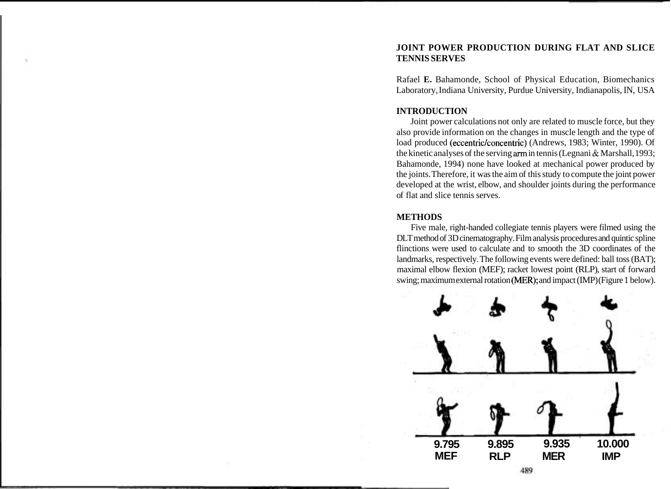# **JOINT POWER PRODUCTION DURING FLAT AND SLICE TENNIS SERVES**

Rafael **E.** Bahamonde, School of Physical Education, Biomechanics Laboratory, Indiana University, Purdue University, Indianapolis, IN, USA

# **INTRODUCTION**

Joint power calculations not only are related to muscle force, but they also provide information on the changes in muscle length and the type of load produced (eccentric/concentric) (Andrews, 1983; Winter, 1990). Of the kinetic analyses of the serving arm in tennis (Legnani & Marshall, 1993; Bahamonde, 1994) none have looked at mechanical power produced by the joints. Therefore, it was the aim of this study to compute the joint power developed at the wrist, elbow, and shoulder joints during the performance of flat and slice tennis serves.

# **METHODS**

Five male, right-handed collegiate tennis players were filmed using the DLT method of 3D cinematography. Film analysis procedures and quintic spline flinctions were used to calculate and to smooth the 3D coordinates of the landmarks, respectively. The following events were defined: ball toss (BAT); maximal elbow flexion (MEF); racket lowest point (RLP), start of forward swing; maximum external rotation (MER); and impact (IMP) (Figure 1 below).

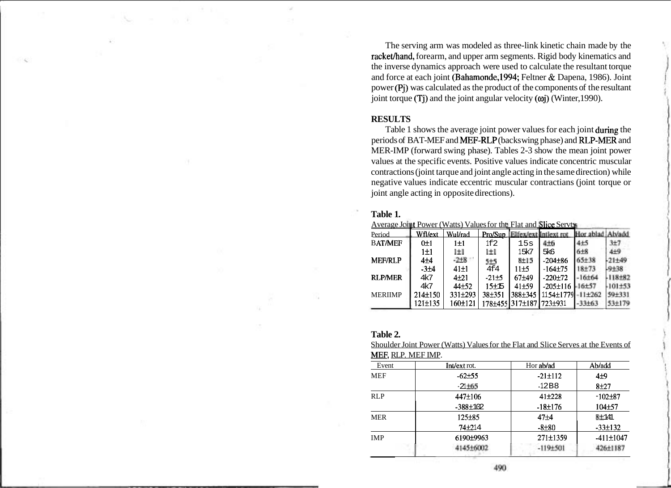The serving arm was modeled as three-link kinetic chain made by the rackethand, forearm, and upper arm segments. Rigid body kinematics and the inverse dynamics approach were used to calculate the resultant torque and force at each joint (Bahamonde, 1994; Feltner & Dapena, 1986). Joint power (Pj) was calculated as the product of the components of the resultant joint torque  $(T<sub>i</sub>)$  and the joint angular velocity  $(\omega<sub>i</sub>)$  (Winter, 1990).

## **RESULTS**

Table 1 shows the average joint power values for each joint during the periods of BAT-MEF and MEF-RLP (backs wing phase) and RLP-MER and MER-IMP (forward swing phase). Tables 2-3 show the mean joint power values at the specific events. Positive values indicate concentric muscular contractions (joint tarque and joint angle acting in the same direction) while negative values indicate eccentric muscular contractians (joint torque or joint angle acting in opposite directions).

#### **Table 1.**

<u>Average Joint Power (Watts) Values for tht: Flat and Slice Servt</u>

| Period         | Wfl/ext   | Wul/rad   | Pro/Sup   |                 | Elfex/ext Intlext rot |                 |             |
|----------------|-----------|-----------|-----------|-----------------|-----------------------|-----------------|-------------|
| <b>BAT/MEF</b> | $0 \pm 1$ | $1\pm1$   | 1f2       | 15s             | 416                   | 4±5             | 3±7         |
|                | $1 \pm 1$ | l±l       | l±l       | 15k7            | 5k6                   | 6 <sub>±8</sub> | 4±9         |
| <b>MEF/RLP</b> | $4\pm4$   | $-2+8$    | $5 + 5$   | 8±15            | $-204\pm86$           | $65 + 38$       | $-21 + 49$  |
|                | $-3+4$    | $41\pm1$  | 4f4       | 11±5            | $-164 + 75$           | $18 + 73$       | $-9 + 38$   |
| <b>RLP/MER</b> | 4k7       | $4 + 21$  | $-21+5$   | $67 + 49$       | $-220 \pm 72$         | 16±64           | $-118 + 82$ |
|                | 4k7       | $44 + 52$ | $15 + 15$ | $41 + 59$       | $-205 \pm 116$        | $16 + 57$       | $101 + 53$  |
| <b>MERIIMP</b> | 214±150   | 331±293   | 38±351    | 388±345         | 1154±1779             | $11 + 262$      | $59 + 331$  |
|                | 121±135   | 160±121   |           | 178±4551317±187 | $1723 + 931$          | 33+63           | 53+170      |

### **Table 2.**

Shoulder Joint Power (Watts) Values for the Flat and Slice Serves at the Events of MEF, RLP. MEF IMP.

| Event      | Int/ext rot.   | Hor ab/ad     | Ab/add            |  |
|------------|----------------|---------------|-------------------|--|
| <b>MEF</b> | $-62+55$       | $-21 \pm 112$ | 4 <sub>±9</sub>   |  |
|            | $-21 + 65$     | $-12B8$       | 8±27              |  |
| <b>RLP</b> | 447±106        | $41 + 228$    | $-102+87$         |  |
|            | $-388 \pm 102$ | $-18±176$     | $104 + 57$        |  |
| <b>MER</b> | $125 + 85$     | $47 + 4$      | 8 <sup>+141</sup> |  |
|            | $74 + 214$     | $-8 + 80$     | $-33\pm 132$      |  |
| <b>IMP</b> | 6190±9963      | 271±1359      | $-411 \pm 1047$   |  |
|            | 414516002      | $-119 + 501$  | 426+1187          |  |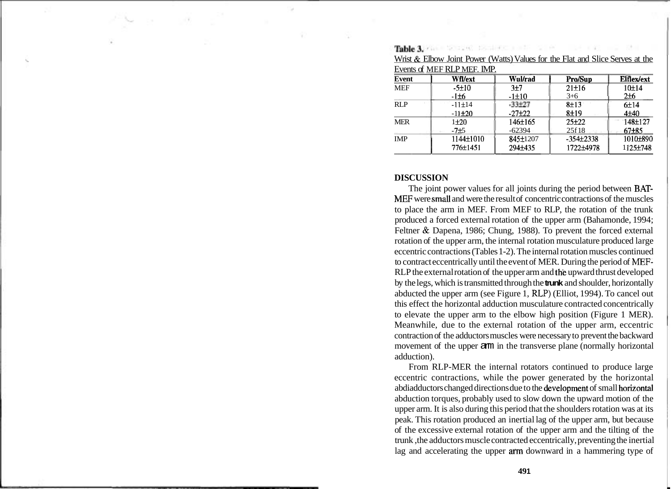|            | $1.1200$ by $2.00011$ comet 2011 of $(1.00000)$<br>Events of MEF RLP MEF. IMP. |                | $\frac{1}{2}$ and $\frac{1}{2}$ and $\frac{1}{2}$ and $\frac{1}{2}$ and $\frac{1}{2}$ and $\frac{1}{2}$ and $\frac{1}{2}$ are $\frac{1}{2}$ |                   |
|------------|--------------------------------------------------------------------------------|----------------|---------------------------------------------------------------------------------------------------------------------------------------------|-------------------|
| Event      | Wfl/ext                                                                        | <b>Wul/rad</b> | <b>Pro/Sup</b>                                                                                                                              | <b>Elflex/ext</b> |
| <b>MEF</b> | $-5+10$                                                                        | $3\pm7$        | $21 \pm 16$                                                                                                                                 | 10±14             |
|            | $-1\pm 6$                                                                      | $-1 \pm 10$    | $3+6$                                                                                                                                       | $2\pm 6$          |
| RLP        | $-11±14$                                                                       | $-33 + 27$     | 8±13                                                                                                                                        | 6±14              |
|            | $-11\pm 20$                                                                    | $-27\pm 22$    | $8 + 19$                                                                                                                                    | $4 + 40$          |
| <b>MER</b> | $1 + 20$                                                                       | 146±165        | $25+22$                                                                                                                                     | 148±127           |
|            | $-7±5$                                                                         | $-62394$       | 25f18                                                                                                                                       | $67 + 85$         |
| <b>IMP</b> | 1144±1010                                                                      | 845±1207       | $-354\pm2338$                                                                                                                               | 1010±890          |
|            | 776±1451                                                                       | 294±435        | 1722±4978                                                                                                                                   | 1125±748          |

Wrist & Elbow Joint Power (Watts) Values for the Flat and Slice Serves at the

Table 3. Final Section Conditions of the Conditions

#### **DISCUSSION**

The joint power values for all joints during the period between BAT-MEF were small and were the result of concentric contractions of the muscles to place the arm in MEF. From MEF to RLP, the rotation of the trunk produced a forced external rotation of the upper arm (Bahamonde, 1994; Feltner & Dapena, 1986; Chung, 1988). To prevent the forced external rotation of the upper arm, the internal rotation musculature produced large eccentric contractions (Tables 1-2). The internal rotation muscles continued to contract eccentrically until the event of MER. During the period of MEF-RLP the external rotation of the upper arm and th'e upward thrust developed by the legs, which is transmitted through the **trunk** and shoulder, horizontally abducted the upper arm (see Figure 1, RLP) (Elliot, 1994). To cancel out this effect the horizontal adduction musculature contracted concentrically to elevate the upper arm to the elbow high position (Figure 1 MER). Meanwhile, due to the external rotation of the upper arm, eccentric contraction of the adductors muscles were necessary to prevent the backward movement of the upper arm in the transverse plane (normally horizontal adduction).

From RLP-MER the internal rotators continued to produce large eccentric contractions, while the power generated by the horizontal abdiadductors changed directions due to the development of small horizontal abduction torques, probably used to slow down the upward motion of the upper arm. It is also during this period that the shoulders rotation was at its peak. This rotation produced an inertial lag of the upper arm, but because of the excessive external rotation of the upper arm and the tilting of the trunk ,the adductors muscle contracted eccentrically, preventing the inertial lag and accelerating the upper afm downward in a hammering type of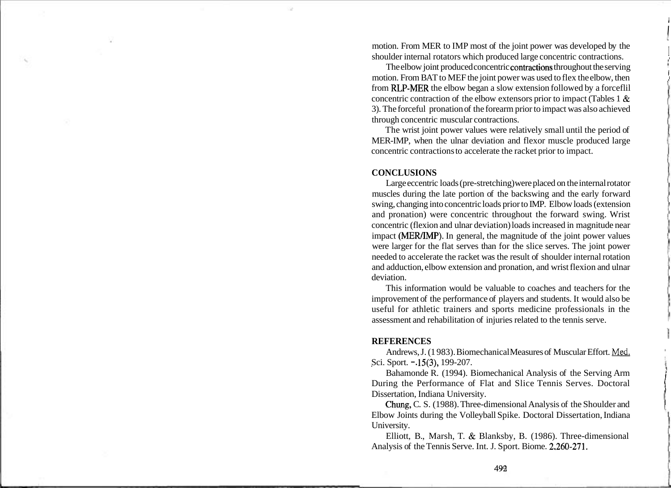motion. From MER to IMP most of the joint power was developed by the shoulder internal rotators which produced large concentric contractions.

The elbow joint produced concentric contractions throughout the serving motion. From BAT to MEF the joint power was used to flex the elbow, then from RLP-MER the elbow began a slow extension followed by a forceflil concentric contraction of the elbow extensors prior to impact (Tables 1 & 3). The forceful pronation of the forearm prior to impact was also achieved through concentric muscular contractions.

The wrist joint power values were relatively small until the period of MER-IMP, when the ulnar deviation and flexor muscle produced large concentric contractions to accelerate the racket prior to impact.

#### **CONCLUSIONS**

Large eccentric loads (pre-stretching) were placed on the internal rotator muscles during the late portion of the backswing and the early forward 1 swing, changing into concentric loads prior to IMP. Elbow loads (extension and pronation) were concentric throughout the forward swing. Wrist concentric (flexion and ulnar deviation) loads increased in magnitude near impact (MER/IMP). In general, the magnitude of the joint power values were larger for the flat serves than for the slice serves. The joint power needed to accelerate the racket was the result of shoulder internal rotation and adduction, elbow extension and pronation, and wrist flexion and ulnar deviation.

This information would be valuable to coaches and teachers for the improvement of the performance of players and students. It would also be useful for athletic trainers and sports medicine professionals in the assessment and rehabilitation of injuries related to the tennis serve. <sup>1</sup>

### **REFERENCES**

Andrews, J. (1983). Biomechanical Measures of Muscular Effort. Med. Sci. Sport. -.15(3), 199-207.

Bahamonde R. (1994). Biomechanical Analysis of the Serving Arm During the Performance of Flat and Slice Tennis Serves. Doctoral Dissertation, Indiana University.

Chung, C. S. (1988). Three-dimensional Analysis of the Shoulder and Elbow Joints during the Volleyball Spike. Doctoral Dissertation, Indiana University.

Elliott, B., Marsh, T. & Blanksby, B. (1986). Three-dimensional Analysis of the Tennis Serve. Int. J. Sport. Biome. 2.260-271.